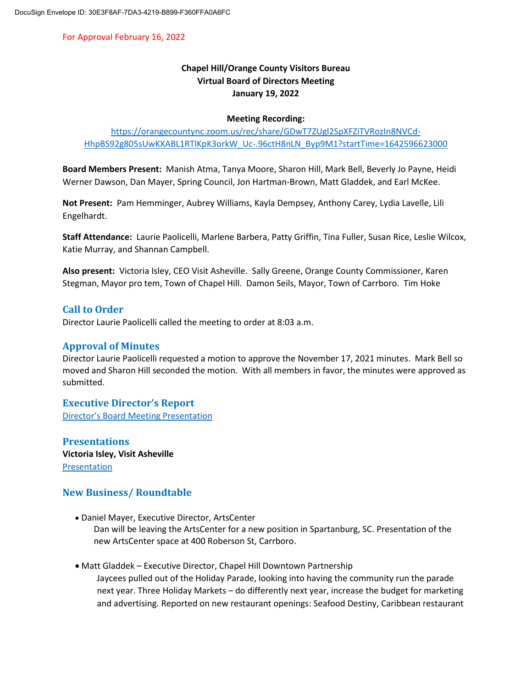For Approval February 16, 2022

# **Chapel Hill/Orange County Visitors Bureau Virtual Board of Directors Meeting January 19, 2022**

#### **Meeting Recording:**

[https://orangecountync.zoom.us/rec/share/GDwT7ZUgl2SpXFZiTVRozIn8NVCd-](https://orangecountync.zoom.us/rec/share/GDwT7ZUgl2SpXFZiTVRozIn8NVCd-HhpBS92g805sUwKXABL1RTlKpK3orkW_Uc-.96ctH8nLN_Byp9M1?startTime=1642596623000)[HhpBS92g805sUwKXABL1RTlKpK3orkW\\_Uc-.96ctH8nLN\\_Byp9M1?startTime=1642596623000](https://orangecountync.zoom.us/rec/share/GDwT7ZUgl2SpXFZiTVRozIn8NVCd-HhpBS92g805sUwKXABL1RTlKpK3orkW_Uc-.96ctH8nLN_Byp9M1?startTime=1642596623000)

**Board Members Present:** Manish Atma, Tanya Moore, Sharon Hill, Mark Bell, Beverly Jo Payne, Heidi Werner Dawson, Dan Mayer, Spring Council, Jon Hartman-Brown, Matt Gladdek, and Earl McKee.

**Not Present:** Pam Hemminger, Aubrey Williams, Kayla Dempsey, Anthony Carey, Lydia Lavelle, Lili Engelhardt.

**Staff Attendance:** Laurie Paolicelli, Marlene Barbera, Patty Griffin, Tina Fuller, Susan Rice, Leslie Wilcox, Katie Murray, and Shannan Campbell.

**Also present:** Victoria Isley, CEO Visit Asheville.Sally Greene, Orange County Commissioner, Karen Stegman, Mayor pro tem, Town of Chapel Hill. Damon Seils, Mayor, Town of Carrboro. Tim Hoke

# **Call to Order**

Director Laurie Paolicelli called the meeting to order at 8:03 a.m.

### **Approval of Minutes**

Director Laurie Paolicelli requested a motion to approve the November 17, 2021 minutes. Mark Bell so moved and Sharon Hill seconded the motion. With all members in favor, the minutes were approved as submitted.

### **Executive Director's Report**

[Director's Board Meeting Presentation](https://issuu.com/chocvb/docs/january_19_visitors_bureau_board_meeting_presentat)

**Presentations Victoria Isley, Visit Asheville** [Presentation](https://issuu.com/chocvb/docs/visit_asheville_presentation)

# **New Business/ Roundtable**

Daniel Mayer, Executive Director, ArtsCenter

Dan will be leaving the ArtsCenter for a new position in Spartanburg, SC. Presentation of the new ArtsCenter space at 400 Roberson St, Carrboro.

Matt Gladdek – Executive Director, Chapel Hill Downtown Partnership

Jaycees pulled out of the Holiday Parade, looking into having the community run the parade next year. Three Holiday Markets – do differently next year, increase the budget for marketing and advertising. Reported on new restaurant openings: Seafood Destiny, Caribbean restaurant